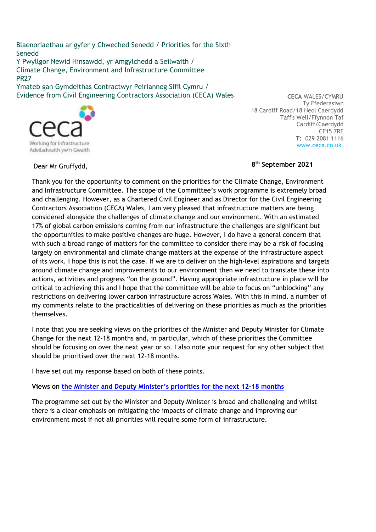Blaenoriaethau ar gyfer y Chweched Senedd / Priorities for the Sixth Senedd Y Pwyllgor Newid Hinsawdd, yr Amgylchedd a Seilwaith / Climate Change, Environment and Infrastructure Committee PR27

Ymateb gan Gymdeithas Contractwyr Peirianneg Sifil Cymru / Evidence from Civil Engineering Contractors Association (CECA) Wales



 **CECA** WALES/CYMRU Ty Ffederasiwn 18 Cardiff Road/18 Heol Caerdydd Taff's Well/Ffynnon Taf Cardiff/Caerdydd CF15 7RE **T:** 029 2081 1116 www.ceca.co.uk

Dear Mr Gruffydd, **8**

## **th September 2021**

Thank you for the opportunity to comment on the priorities for the Climate Change, Environment and Infrastructure Committee. The scope of the Committee's work programme is extremely broad and challenging. However, as a Chartered Civil Engineer and as Director for the Civil Engineering Contractors Association (CECA) Wales, I am very pleased that infrastructure matters are being considered alongside the challenges of climate change and our environment. With an estimated 17% of global carbon emissions coming from our infrastructure the challenges are significant but the opportunities to make positive changes are huge. However, I do have a general concern that with such a broad range of matters for the committee to consider there may be a risk of focusing largely on environmental and climate change matters at the expense of the infrastructure aspect of its work. I hope this is not the case. If we are to deliver on the high-level aspirations and targets around climate change and improvements to our environment then we need to translate these into actions, activities and progress "on the ground". Having appropriate infrastructure in place will be critical to achieving this and I hope that the committee will be able to focus on "unblocking" any restrictions on delivering lower carbon infrastructure across Wales. With this in mind, a number of my comments relate to the practicalities of delivering on these priorities as much as the priorities themselves.

I note that you are seeking views on the priorities of the Minister and Deputy Minister for Climate Change for the next 12-18 months and, in particular, which of these priorities the Committee should be focusing on over the next year or so. I also note your request for any other subject that should be prioritised over the next 12-18 months.

I have set out my response based on both of these points.

**Views on the Minister and Deputy Minister's priorities for the next 12-18 months**

The programme set out by the Minister and Deputy Minister is broad and challenging and whilst there is a clear emphasis on mitigating the impacts of climate change and improving our environment most if not all priorities will require some form of infrastructure.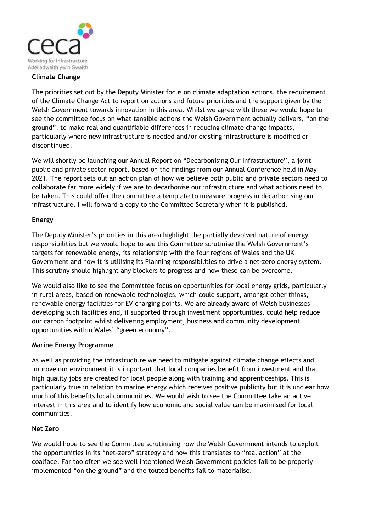

#### **Climate Change**

The priorities set out by the Deputy Minister focus on climate adaptation actions, the requirement of the Climate Change Act to report on actions and future priorities and the support given by the Welsh Government towards innovation in this area. Whilst we agree with these we would hope to see the committee focus on what tangible actions the Welsh Government actually delivers, "on the ground", to make real and quantifiable differences in reducing climate change impacts, particularly where new infrastructure is needed and/or existing infrastructure is modified or discontinued.

We will shortly be launching our Annual Report on "Decarbonising Our Infrastructure", a joint public and private sector report, based on the findings from our Annual Conference held in May 2021. The report sets out an action plan of how we believe both public and private sectors need to collaborate far more widely if we are to decarbonise our infrastructure and what actions need to be taken. This could offer the committee a template to measure progress in decarbonising our infrastructure. I will forward a copy to the Committee Secretary when it is published.

## **Energy**

The Deputy Minister's priorities in this area highlight the partially devolved nature of energy responsibilities but we would hope to see this Committee scrutinise the Welsh Government's targets for renewable energy, its relationship with the four regions of Wales and the UK Government and how it is utilising its Planning responsibilities to drive a net-zero energy system. This scrutiny should highlight any blockers to progress and how these can be overcome.

We would also like to see the Committee focus on opportunities for local energy grids, particularly in rural areas, based on renewable technologies, which could support, amongst other things, renewable energy facilities for EV charging points. We are already aware of Welsh businesses developing such facilities and, if supported through investment opportunities, could help reduce our carbon footprint whilst delivering employment, business and community development opportunities within Wales' "green economy".

## **Marine Energy Programme**

As well as providing the infrastructure we need to mitigate against climate change effects and improve our environment it is important that local companies benefit from investment and that high quality jobs are created for local people along with training and apprenticeships. This is particularly true in relation to marine energy which receives positive publicity but it is unclear how much of this benefits local communities. We would wish to see the Committee take an active interest in this area and to identify how economic and social value can be maximised for local communities.

#### **Net Zero**

We would hope to see the Committee scrutinising how the Welsh Government intends to exploit the opportunities in its "net-zero" strategy and how this translates to "real action" at the coalface. Far too often we see well intentioned Welsh Government policies fail to be properly implemented "on the ground" and the touted benefits fail to materialise.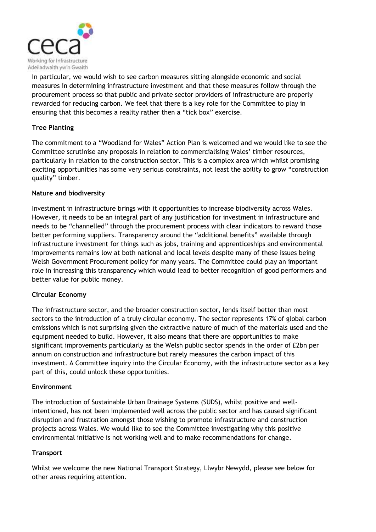

In particular, we would wish to see carbon measures sitting alongside economic and social measures in determining infrastructure investment and that these measures follow through the procurement process so that public and private sector providers of infrastructure are properly rewarded for reducing carbon. We feel that there is a key role for the Committee to play in ensuring that this becomes a reality rather then a "tick box" exercise.

# **Tree Planting**

The commitment to a "Woodland for Wales" Action Plan is welcomed and we would like to see the Committee scrutinise any proposals in relation to commercialising Wales' timber resources, particularly in relation to the construction sector. This is a complex area which whilst promising exciting opportunities has some very serious constraints, not least the ability to grow "construction quality" timber.

## **Nature and biodiversity**

Investment in infrastructure brings with it opportunities to increase biodiversity across Wales. However, it needs to be an integral part of any justification for investment in infrastructure and needs to be "channelled" through the procurement process with clear indicators to reward those better performing suppliers. Transparency around the "additional benefits" available through infrastructure investment for things such as jobs, training and apprenticeships and environmental improvements remains low at both national and local levels despite many of these issues being Welsh Government Procurement policy for many years. The Committee could play an important role in increasing this transparency which would lead to better recognition of good performers and better value for public money.

## **Circular Economy**

The infrastructure sector, and the broader construction sector, lends itself better than most sectors to the introduction of a truly circular economy. The sector represents 17% of global carbon emissions which is not surprising given the extractive nature of much of the materials used and the equipment needed to build. However, it also means that there are opportunities to make significant improvements particularly as the Welsh public sector spends in the order of £2bn per annum on construction and infrastructure but rarely measures the carbon impact of this investment. A Committee inquiry into the Circular Economy, with the infrastructure sector as a key part of this, could unlock these opportunities.

## **Environment**

The introduction of Sustainable Urban Drainage Systems (SUDS), whilst positive and wellintentioned, has not been implemented well across the public sector and has caused significant disruption and frustration amongst those wishing to promote infrastructure and construction projects across Wales. We would like to see the Committee investigating why this positive environmental initiative is not working well and to make recommendations for change.

## **Transport**

Whilst we welcome the new National Transport Strategy, Llwybr Newydd, please see below for other areas requiring attention.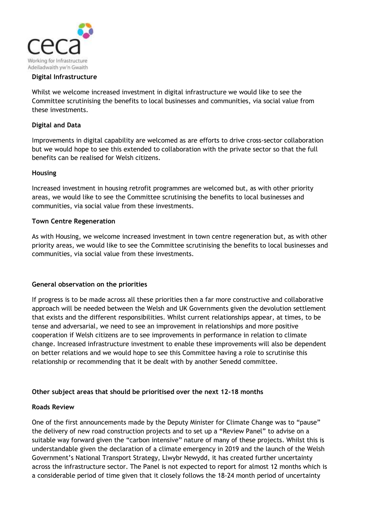

#### **Digital Infrastructure**

Whilst we welcome increased investment in digital infrastructure we would like to see the Committee scrutinising the benefits to local businesses and communities, via social value from these investments.

#### **Digital and Data**

Improvements in digital capability are welcomed as are efforts to drive cross-sector collaboration but we would hope to see this extended to collaboration with the private sector so that the full benefits can be realised for Welsh citizens.

#### **Housing**

Increased investment in housing retrofit programmes are welcomed but, as with other priority areas, we would like to see the Committee scrutinising the benefits to local businesses and communities, via social value from these investments.

#### **Town Centre Regeneration**

As with Housing, we welcome increased investment in town centre regeneration but, as with other priority areas, we would like to see the Committee scrutinising the benefits to local businesses and communities, via social value from these investments.

#### **General observation on the priorities**

If progress is to be made across all these priorities then a far more constructive and collaborative approach will be needed between the Welsh and UK Governments given the devolution settlement that exists and the different responsibilities. Whilst current relationships appear, at times, to be tense and adversarial, we need to see an improvement in relationships and more positive cooperation if Welsh citizens are to see improvements in performance in relation to climate change. Increased infrastructure investment to enable these improvements will also be dependent on better relations and we would hope to see this Committee having a role to scrutinise this relationship or recommending that it be dealt with by another Senedd committee.

## **Other subject areas that should be prioritised over the next 12-18 months**

#### **Roads Review**

One of the first announcements made by the Deputy Minister for Climate Change was to "pause" the delivery of new road construction projects and to set up a "Review Panel" to advise on a suitable way forward given the "carbon intensive" nature of many of these projects. Whilst this is understandable given the declaration of a climate emergency in 2019 and the launch of the Welsh Government's National Transport Strategy, Llwybr Newydd, it has created further uncertainty across the infrastructure sector. The Panel is not expected to report for almost 12 months which is a considerable period of time given that it closely follows the 18-24 month period of uncertainty